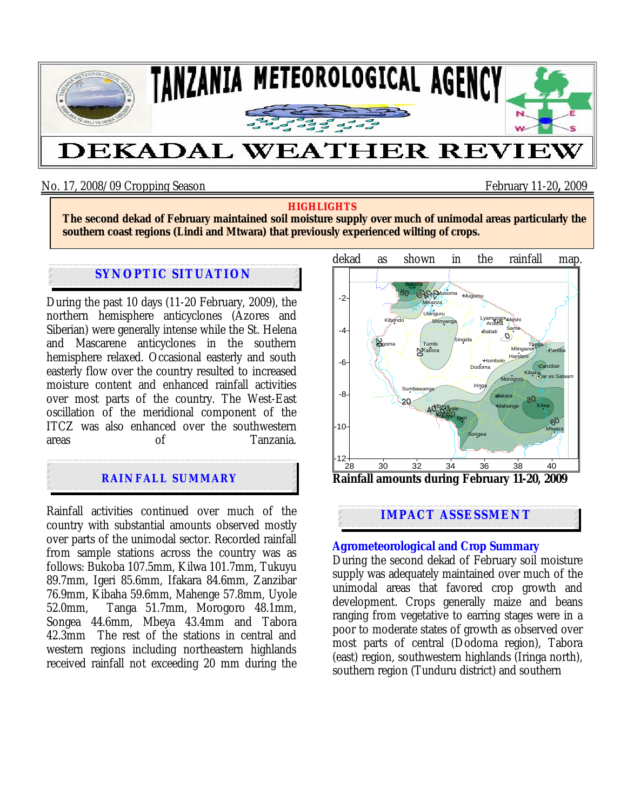

## No. 17, 2008/09 Cropping Season February 11-20**,** 2009

#### **HIGHLIGHTS**

**The second dekad of February maintained soil moisture supply over much of unimodal areas particularly the southern coast regions (Lindi and Mtwara) that previously experienced wilting of crops.**

#### **SYNOPTIC SITUATION**

During the past 10 days (11-20 February, 2009), the northern hemisphere anticyclones (Azores and Siberian) were generally intense while the St. Helena and Mascarene anticyclones in the southern hemisphere relaxed. Occasional easterly and south easterly flow over the country resulted to increased moisture content and enhanced rainfall activities over most parts of the country. The West-East oscillation of the meridional component of the ITCZ was also enhanced over the southwestern<br>areas of Tanzania areas of Tanzania.

# **RAINFALL SUMMARY**

Ì

Rainfall activities continued over much of the country with substantial amounts observed mostly over parts of the unimodal sector. Recorded rainfall from sample stations across the country was as follows: Bukoba 107.5mm, Kilwa 101.7mm, Tukuyu 89.7mm, Igeri 85.6mm, Ifakara 84.6mm, Zanzibar 76.9mm, Kibaha 59.6mm, Mahenge 57.8mm, Uyole 52.0mm, Tanga 51.7mm, Morogoro 48.1mm, Songea 44.6mm, Mbeya 43.4mm and Tabora 42.3mm The rest of the stations in central and western regions including northeastern highlands received rainfall not exceeding 20 mm during the



## **IMPACT ASSESSMENT**

#### **Agrometeorological and Crop Summary**

During the second dekad of February soil moisture supply was adequately maintained over much of the unimodal areas that favored crop growth and development. Crops generally maize and beans ranging from vegetative to earring stages were in a poor to moderate states of growth as observed over most parts of central (Dodoma region), Tabora (east) region, southwestern highlands (Iringa north), southern region (Tunduru district) and southern